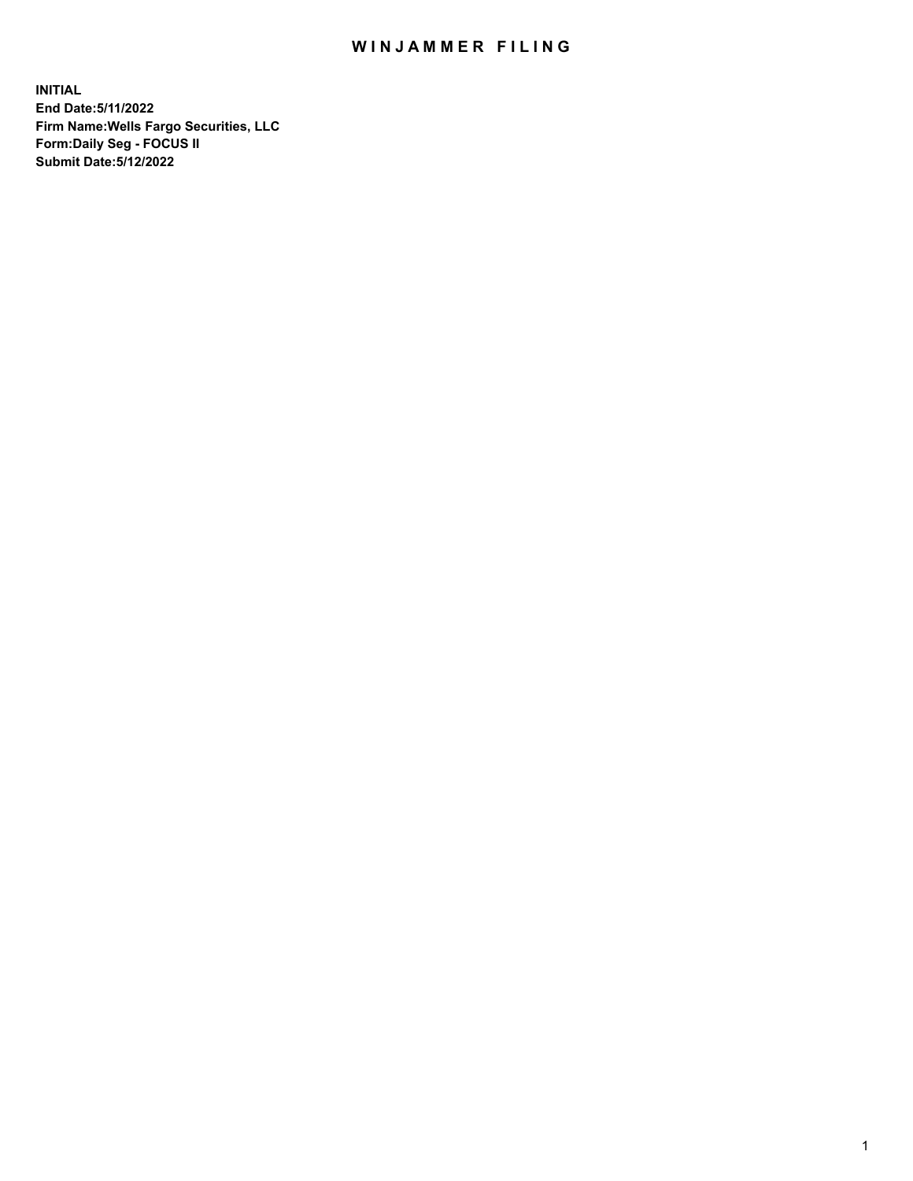## WIN JAMMER FILING

**INITIAL End Date:5/11/2022 Firm Name:Wells Fargo Securities, LLC Form:Daily Seg - FOCUS II Submit Date:5/12/2022**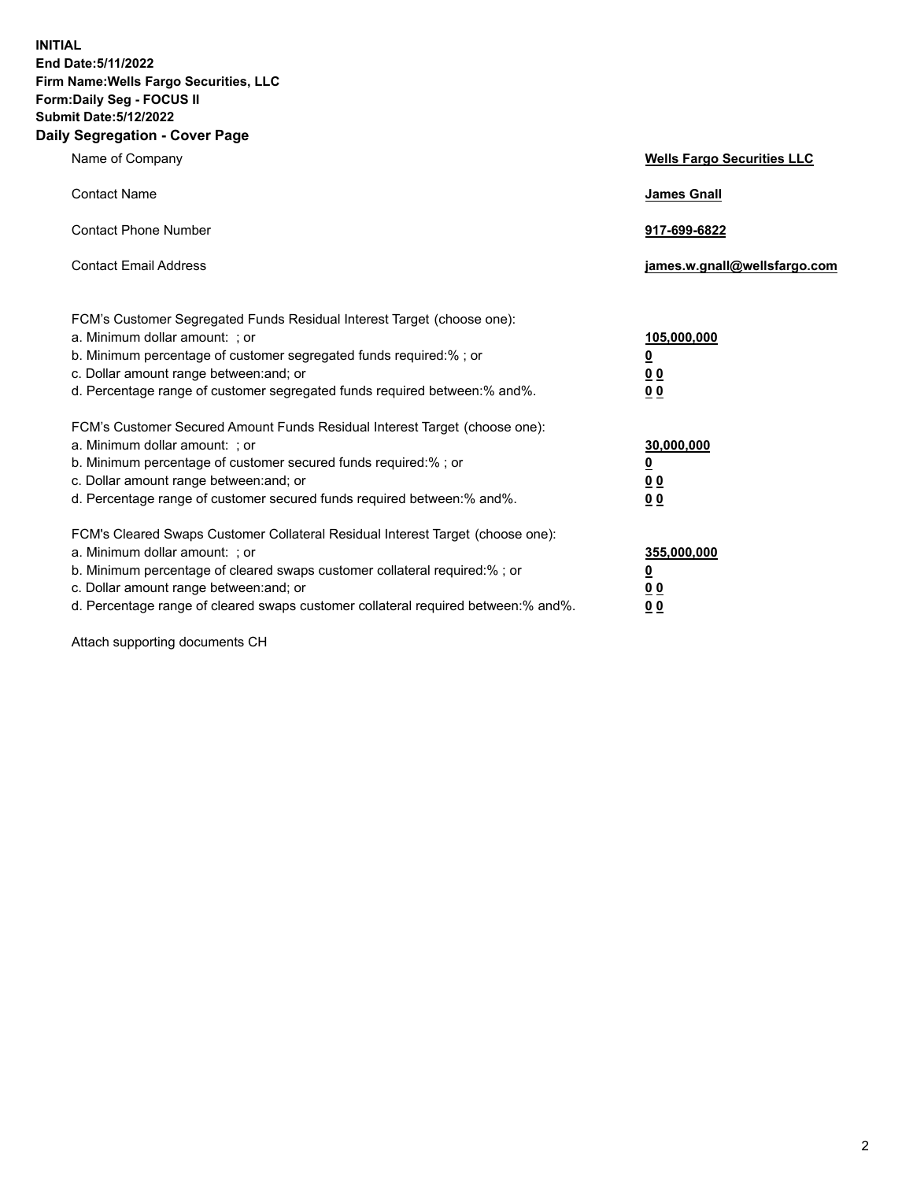**INITIAL End Date:5/11/2022 Firm Name:Wells Fargo Securities, LLC Form:Daily Seg - FOCUS II Submit Date:5/12/2022 Daily Segregation - Cover Page**

| Name of Company                                                                                                                                                                                                                                                                                                                | <b>Wells Fargo Securities LLC</b>                          |
|--------------------------------------------------------------------------------------------------------------------------------------------------------------------------------------------------------------------------------------------------------------------------------------------------------------------------------|------------------------------------------------------------|
| <b>Contact Name</b>                                                                                                                                                                                                                                                                                                            | <b>James Gnall</b>                                         |
| <b>Contact Phone Number</b>                                                                                                                                                                                                                                                                                                    | 917-699-6822                                               |
| <b>Contact Email Address</b>                                                                                                                                                                                                                                                                                                   | james.w.gnall@wellsfargo.com                               |
| FCM's Customer Segregated Funds Residual Interest Target (choose one):<br>a. Minimum dollar amount: ; or<br>b. Minimum percentage of customer segregated funds required:% ; or<br>c. Dollar amount range between: and; or<br>d. Percentage range of customer segregated funds required between:% and%.                         | 105,000,000<br><u>0</u><br>0 <sub>0</sub><br>00            |
| FCM's Customer Secured Amount Funds Residual Interest Target (choose one):<br>a. Minimum dollar amount: ; or<br>b. Minimum percentage of customer secured funds required:%; or<br>c. Dollar amount range between: and; or<br>d. Percentage range of customer secured funds required between:% and%.                            | 30,000,000<br><u>0</u><br>0 <sub>0</sub><br>0 <sub>0</sub> |
| FCM's Cleared Swaps Customer Collateral Residual Interest Target (choose one):<br>a. Minimum dollar amount: ; or<br>b. Minimum percentage of cleared swaps customer collateral required:% ; or<br>c. Dollar amount range between: and; or<br>d. Percentage range of cleared swaps customer collateral required between:% and%. | 355,000,000<br><u>0</u><br>00<br>00                        |

Attach supporting documents CH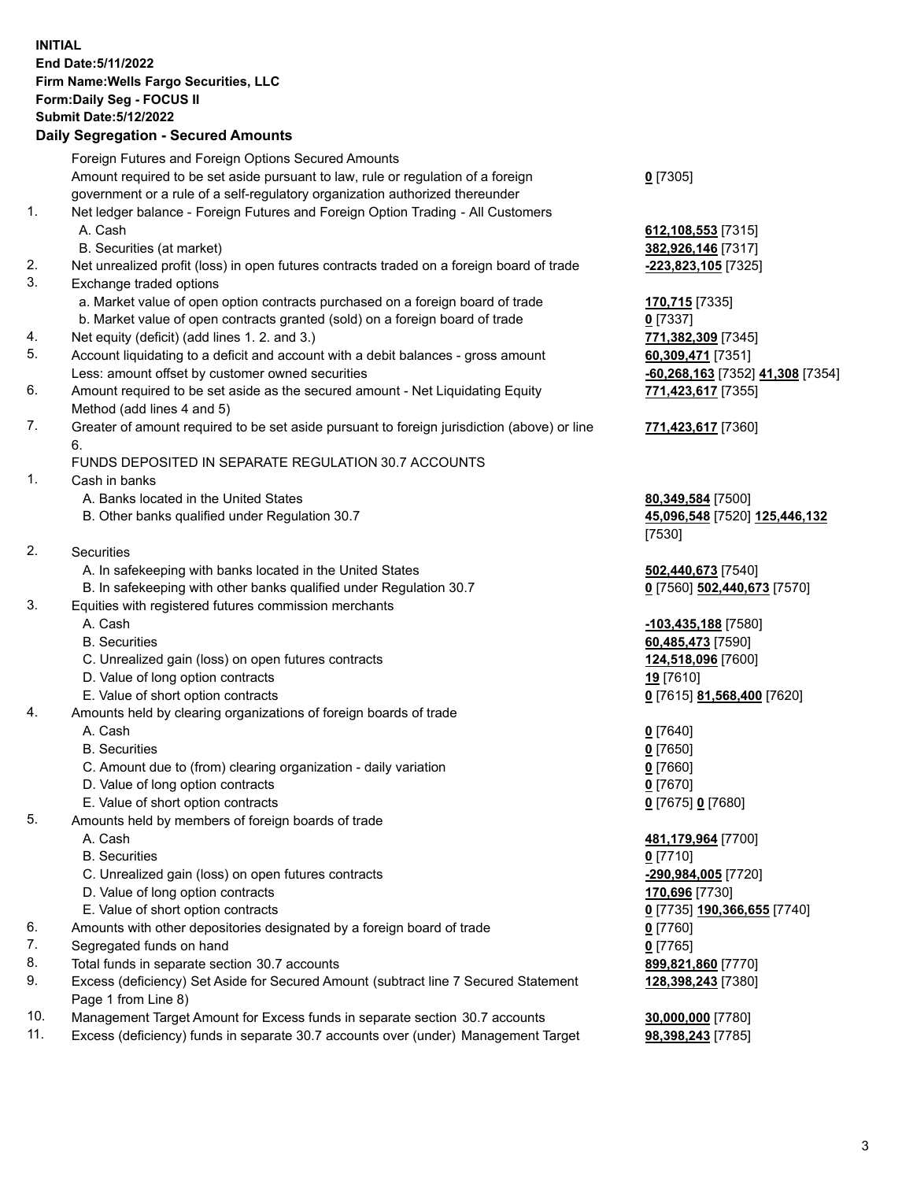**INITIAL End Date:5/11/2022 Firm Name:Wells Fargo Securities, LLC Form:Daily Seg - FOCUS II Submit Date:5/12/2022**

## **Daily Segregation - Secured Amounts**

|          | Foreign Futures and Foreign Options Secured Amounts                                                        |                                  |
|----------|------------------------------------------------------------------------------------------------------------|----------------------------------|
|          | Amount required to be set aside pursuant to law, rule or regulation of a foreign                           | $0$ [7305]                       |
|          | government or a rule of a self-regulatory organization authorized thereunder                               |                                  |
| 1.       | Net ledger balance - Foreign Futures and Foreign Option Trading - All Customers                            |                                  |
|          | A. Cash                                                                                                    | 612, 108, 553 [7315]             |
|          | B. Securities (at market)                                                                                  | 382,926,146 [7317]               |
| 2.       | Net unrealized profit (loss) in open futures contracts traded on a foreign board of trade                  | <u>-223,823,105</u> [7325]       |
| 3.       | Exchange traded options                                                                                    |                                  |
|          | a. Market value of open option contracts purchased on a foreign board of trade                             | 170,715 [7335]                   |
|          | b. Market value of open contracts granted (sold) on a foreign board of trade                               | $0$ [7337]                       |
| 4.       | Net equity (deficit) (add lines 1. 2. and 3.)                                                              | 771,382,309 [7345]               |
| 5.       | Account liquidating to a deficit and account with a debit balances - gross amount                          | 60,309,471 [7351]                |
|          | Less: amount offset by customer owned securities                                                           | -60,268,163 [7352] 41,308 [7354] |
| 6.       | Amount required to be set aside as the secured amount - Net Liquidating Equity                             | 771,423,617 [7355]               |
|          | Method (add lines 4 and 5)                                                                                 |                                  |
| 7.       | Greater of amount required to be set aside pursuant to foreign jurisdiction (above) or line                | 771,423,617 [7360]               |
|          | 6.                                                                                                         |                                  |
|          | FUNDS DEPOSITED IN SEPARATE REGULATION 30.7 ACCOUNTS                                                       |                                  |
| 1.       | Cash in banks                                                                                              |                                  |
|          | A. Banks located in the United States                                                                      | 80,349,584 [7500]                |
|          | B. Other banks qualified under Regulation 30.7                                                             | 45,096,548 [7520] 125,446,132    |
|          |                                                                                                            | [7530]                           |
| 2.       | <b>Securities</b>                                                                                          |                                  |
|          | A. In safekeeping with banks located in the United States                                                  | 502,440,673 [7540]               |
|          | B. In safekeeping with other banks qualified under Regulation 30.7                                         | 0 [7560] 502,440,673 [7570]      |
| 3.       | Equities with registered futures commission merchants                                                      |                                  |
|          | A. Cash                                                                                                    | -103,435,188 [7580]              |
|          | <b>B.</b> Securities                                                                                       | 60,485,473 [7590]                |
|          | C. Unrealized gain (loss) on open futures contracts                                                        | 124,518,096 [7600]               |
|          | D. Value of long option contracts                                                                          | 19 [7610]                        |
|          | E. Value of short option contracts                                                                         | 0 [7615] 81,568,400 [7620]       |
| 4.       | Amounts held by clearing organizations of foreign boards of trade                                          |                                  |
|          | A. Cash                                                                                                    |                                  |
|          | <b>B.</b> Securities                                                                                       | $0$ [7640]<br>$0$ [7650]         |
|          | C. Amount due to (from) clearing organization - daily variation                                            | $0$ [7660]                       |
|          | D. Value of long option contracts                                                                          | $0$ [7670]                       |
|          | E. Value of short option contracts                                                                         | 0 [7675] 0 [7680]                |
| 5.       |                                                                                                            |                                  |
|          | Amounts held by members of foreign boards of trade<br>A. Cash                                              | 481,179,964 [7700]               |
|          | <b>B.</b> Securities                                                                                       | $0$ [7710]                       |
|          | C. Unrealized gain (loss) on open futures contracts                                                        | -290,984,005 [7720]              |
|          | D. Value of long option contracts                                                                          |                                  |
|          |                                                                                                            | 170,696 [7730]                   |
| 6.       | E. Value of short option contracts                                                                         | 0 [7735] 190,366,655 [7740]      |
|          | Amounts with other depositories designated by a foreign board of trade                                     | 0 [7760]                         |
| 7.<br>8. | Segregated funds on hand                                                                                   | $0$ [7765]                       |
| 9.       | Total funds in separate section 30.7 accounts                                                              | 899,821,860 [7770]               |
|          | Excess (deficiency) Set Aside for Secured Amount (subtract line 7 Secured Statement<br>Page 1 from Line 8) | 128,398,243 [7380]               |
| 10.      |                                                                                                            |                                  |
|          | Management Target Amount for Excess funds in separate section 30.7 accounts                                | 30,000,000 [7780]                |

11. Excess (deficiency) funds in separate 30.7 accounts over (under) Management Target **98,398,243** [7785]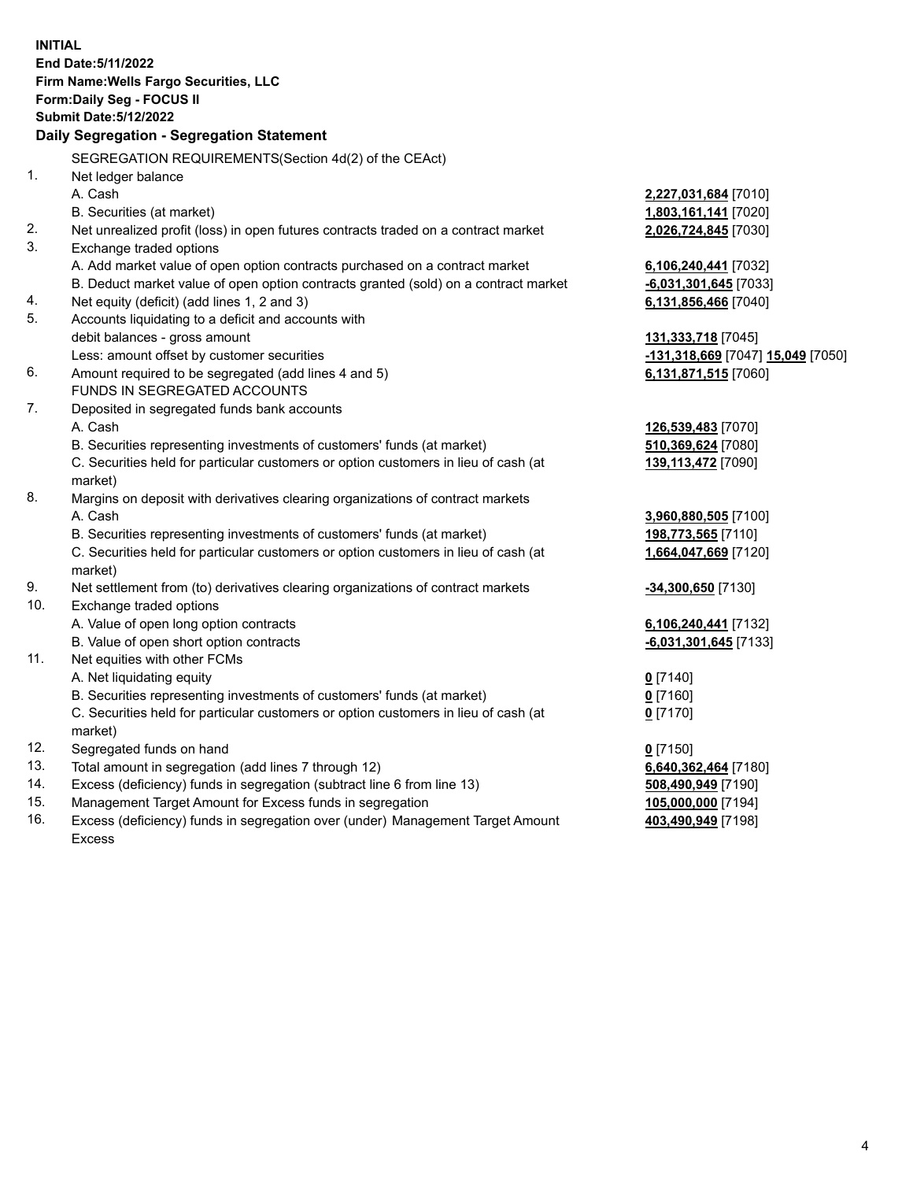**INITIAL End Date:5/11/2022 Firm Name:Wells Fargo Securities, LLC Form:Daily Seg - FOCUS II Submit Date:5/12/2022 Daily Segregation - Segregation Statement** SEGREGATION REQUIREMENTS(Section 4d(2) of the CEAct) 1. Net ledger balance A. Cash **2,227,031,684** [7010] B. Securities (at market) **1,803,161,141** [7020] 2. Net unrealized profit (loss) in open futures contracts traded on a contract market **2,026,724,845** [7030] 3. Exchange traded options A. Add market value of open option contracts purchased on a contract market **6,106,240,441** [7032] B. Deduct market value of open option contracts granted (sold) on a contract market **-6,031,301,645** [7033] 4. Net equity (deficit) (add lines 1, 2 and 3) **6,131,856,466** [7040] 5. Accounts liquidating to a deficit and accounts with debit balances - gross amount **131,333,718** [7045] Less: amount offset by customer securities **-131,318,669** [7047] **15,049** [7050] 6. Amount required to be segregated (add lines 4 and 5) **6,131,871,515** [7060] FUNDS IN SEGREGATED ACCOUNTS 7. Deposited in segregated funds bank accounts A. Cash **126,539,483** [7070] B. Securities representing investments of customers' funds (at market) **510,369,624** [7080] C. Securities held for particular customers or option customers in lieu of cash (at market) **139,113,472** [7090] 8. Margins on deposit with derivatives clearing organizations of contract markets A. Cash **3,960,880,505** [7100] B. Securities representing investments of customers' funds (at market) **198,773,565** [7110] C. Securities held for particular customers or option customers in lieu of cash (at market) **1,664,047,669** [7120] 9. Net settlement from (to) derivatives clearing organizations of contract markets **-34,300,650** [7130] 10. Exchange traded options A. Value of open long option contracts **6,106,240,441** [7132] B. Value of open short option contracts **-6,031,301,645** [7133] 11. Net equities with other FCMs A. Net liquidating equity **0** [7140] B. Securities representing investments of customers' funds (at market) **0** [7160] C. Securities held for particular customers or option customers in lieu of cash (at market) **0** [7170] 12. Segregated funds on hand **0** [7150] 13. Total amount in segregation (add lines 7 through 12) **6,640,362,464** [7180] 14. Excess (deficiency) funds in segregation (subtract line 6 from line 13) **508,490,949** [7190] 15. Management Target Amount for Excess funds in segregation **105,000,000** [7194] **403,490,949** [7198]

16. Excess (deficiency) funds in segregation over (under) Management Target Amount Excess